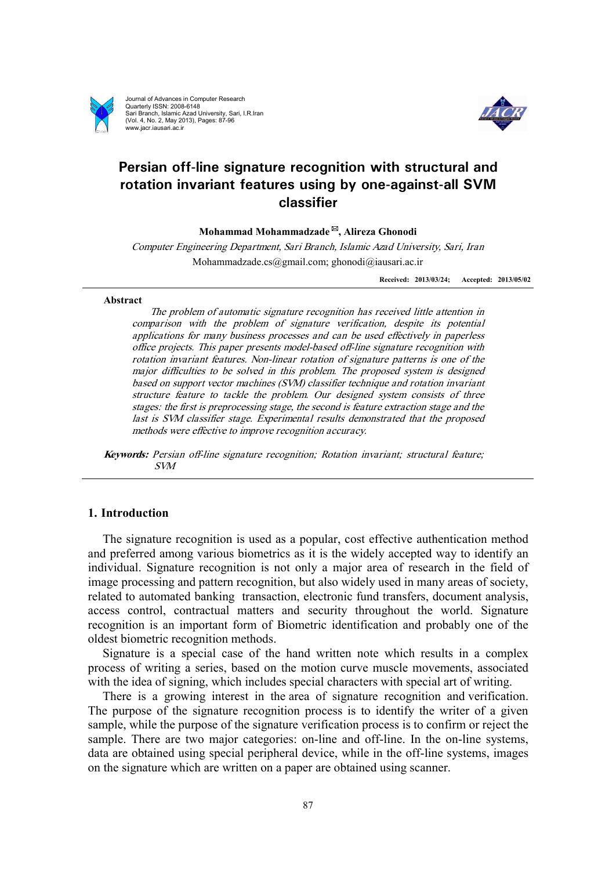

Journal of Advances in Computer Research Quarterly ISSN: 2008-6148 Sari Branch, Islamic Azad University, Sari, I.R.Iran (Vol. 4, No. 2, May 2013), Pages: 87-96 www.jacr.iausari.ac.ir



# **Persian off-line signature recognition with structural and rotation invariant features using by one-against-all SVM classifier**

**Mohammad Mohammadzade \*, Alireza Ghonodi** 

*Computer Engineering Department, Sari Branch, Islamic Azad University, Sari, Iran*  Mohammadzade.cs@gmail.com; ghonodi@iausari.ac.ir

**Received: 2013/03/24; Accepted: 2013/05/02**

#### **Abstract**

*The problem of automatic signature recognition has received little attention in comparison with the problem of signature verification, despite its potential applications for many business processes and can be used effectively in paperless office projects. This paper presents model-based off-line signature recognition with rotation invariant features. Non-linear rotation of signature patterns is one of the major difficulties to be solved in this problem. The proposed system is designed based on support vector machines (SVM) classifier technique and rotation invariant structure feature to tackle the problem. Our designed system consists of three stages: the first is preprocessing stage, the second is feature extraction stage and the last is SVM classifier stage. Experimental results demonstrated that the proposed methods were effective to improve recognition accuracy.*

*Keywords: Persian off-line signature recognition; Rotation invariant; structural feature; SVM* 

# **1. Introduction**

The signature recognition is used as a popular, cost effective authentication method and preferred among various biometrics as it is the widely accepted way to identify an individual. Signature recognition is not only a major area of research in the field of image processing and pattern recognition, but also widely used in many areas of society, related to automated banking transaction, electronic fund transfers, document analysis, access control, contractual matters and security throughout the world. Signature recognition is an important form of Biometric identification and probably one of the oldest biometric recognition methods.

Signature is a special case of the hand written note which results in a complex process of writing a series, based on the motion curve muscle movements, associated with the idea of signing, which includes special characters with special art of writing.

There is a growing interest in the area of signature recognition and verification. The purpose of the signature recognition process is to identify the writer of a given sample, while the purpose of the signature verification process is to confirm or reject the sample. There are two major categories: on-line and off-line. In the on-line systems, data are obtained using special peripheral device, while in the off-line systems, images on the signature which are written on a paper are obtained using scanner.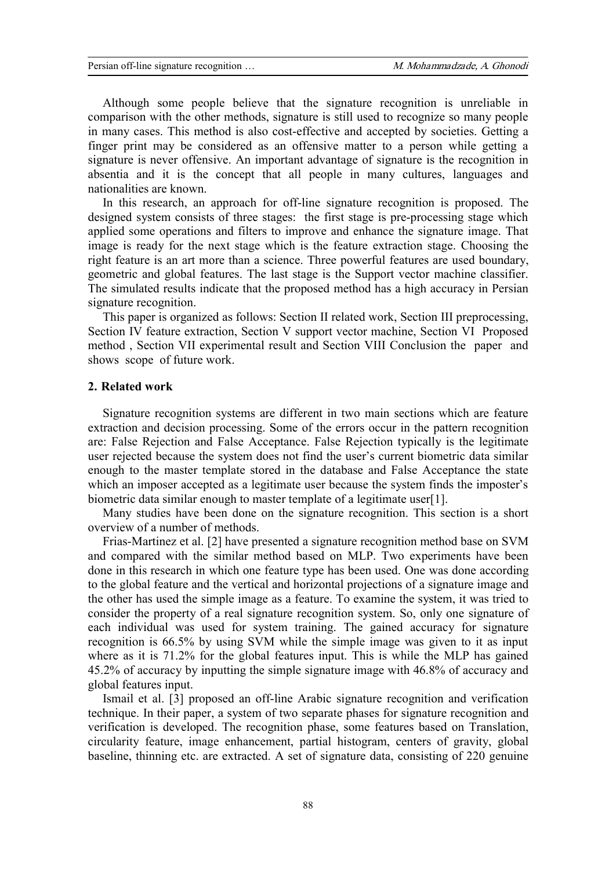Although some people believe that the signature recognition is unreliable in comparison with the other methods, signature is still used to recognize so many people in many cases. This method is also cost-effective and accepted by societies. Getting a finger print may be considered as an offensive matter to a person while getting a signature is never offensive. An important advantage of signature is the recognition in absentia and it is the concept that all people in many cultures, languages and nationalities are known.

In this research, an approach for off-line signature recognition is proposed. The designed system consists of three stages: the first stage is pre-processing stage which applied some operations and filters to improve and enhance the signature image. That image is ready for the next stage which is the feature extraction stage. Choosing the right feature is an art more than a science. Three powerful features are used boundary, geometric and global features. The last stage is the Support vector machine classifier. The simulated results indicate that the proposed method has a high accuracy in Persian signature recognition.

This paper is organized as follows: Section II related work, Section III preprocessing, Section IV feature extraction, Section V support vector machine, Section VI Proposed method , Section VII experimental result and Section VIII Conclusion the paper and shows scope of future work.

## **2. Related work**

Signature recognition systems are different in two main sections which are feature extraction and decision processing. Some of the errors occur in the pattern recognition are: False Rejection and False Acceptance. False Rejection typically is the legitimate user rejected because the system does not find the user's current biometric data similar enough to the master template stored in the database and False Acceptance the state which an imposer accepted as a legitimate user because the system finds the imposter's biometric data similar enough to master template of a legitimate user[1].

Many studies have been done on the signature recognition. This section is a short overview of a number of methods.

Frias-Martinez et al. [2] have presented a signature recognition method base on SVM and compared with the similar method based on MLP. Two experiments have been done in this research in which one feature type has been used. One was done according to the global feature and the vertical and horizontal projections of a signature image and the other has used the simple image as a feature. To examine the system, it was tried to consider the property of a real signature recognition system. So, only one signature of each individual was used for system training. The gained accuracy for signature recognition is 66.5% by using SVM while the simple image was given to it as input where as it is 71.2% for the global features input. This is while the MLP has gained 45.2% of accuracy by inputting the simple signature image with 46.8% of accuracy and global features input.

Ismail et al. [3] proposed an off-line Arabic signature recognition and verification technique. In their paper, a system of two separate phases for signature recognition and verification is developed. The recognition phase, some features based on Translation, circularity feature, image enhancement, partial histogram, centers of gravity, global baseline, thinning etc. are extracted. A set of signature data, consisting of 220 genuine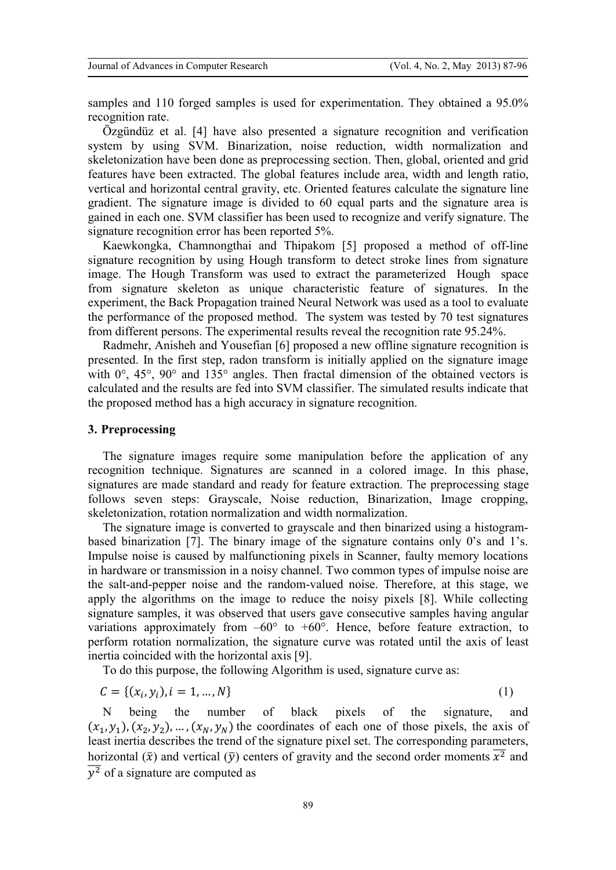samples and 110 forged samples is used for experimentation. They obtained a 95.0% recognition rate.

Özgündüz et al. [4] have also presented a signature recognition and verification system by using SVM. Binarization, noise reduction, width normalization and skeletonization have been done as preprocessing section. Then, global, oriented and grid features have been extracted. The global features include area, width and length ratio, vertical and horizontal central gravity, etc. Oriented features calculate the signature line gradient. The signature image is divided to 60 equal parts and the signature area is gained in each one. SVM classifier has been used to recognize and verify signature. The signature recognition error has been reported 5%.

Kaewkongka, Chamnongthai and Thipakom [5] proposed a method of off-line signature recognition by using Hough transform to detect stroke lines from signature image. The Hough Transform was used to extract the parameterized Hough space from signature skeleton as unique characteristic feature of signatures. In the experiment, the Back Propagation trained Neural Network was used as a tool to evaluate the performance of the proposed method. The system was tested by 70 test signatures from different persons. The experimental results reveal the recognition rate 95.24%.

Radmehr, Anisheh and Yousefian [6] proposed a new offline signature recognition is presented. In the first step, radon transform is initially applied on the signature image with  $0^{\circ}$ ,  $45^{\circ}$ ,  $90^{\circ}$  and  $135^{\circ}$  angles. Then fractal dimension of the obtained vectors is calculated and the results are fed into SVM classifier. The simulated results indicate that the proposed method has a high accuracy in signature recognition.

# **3. Preprocessing**

The signature images require some manipulation before the application of any recognition technique. Signatures are scanned in a colored image. In this phase, signatures are made standard and ready for feature extraction. The preprocessing stage follows seven steps: Grayscale, Noise reduction, Binarization, Image cropping, skeletonization, rotation normalization and width normalization.

The signature image is converted to grayscale and then binarized using a histogrambased binarization [7]. The binary image of the signature contains only 0's and 1's. Impulse noise is caused by malfunctioning pixels in Scanner, faulty memory locations in hardware or transmission in a noisy channel. Two common types of impulse noise are the salt-and-pepper noise and the random-valued noise. Therefore, at this stage, we apply the algorithms on the image to reduce the noisy pixels [8]. While collecting signature samples, it was observed that users gave consecutive samples having angular variations approximately from  $-60^{\circ}$  to  $+60^{\circ}$ . Hence, before feature extraction, to perform rotation normalization, the signature curve was rotated until the axis of least inertia coincided with the horizontal axis [9].

To do this purpose, the following Algorithm is used, signature curve as:

$$
C = \{(x_i, y_i), i = 1, ..., N\}
$$
 (1)

N being the number of black pixels of the signature, and  $(x_1, y_1), (x_2, y_2), ..., (x_N, y_N)$  the coordinates of each one of those pixels, the axis of least inertia describes the trend of the signature pixel set. The corresponding parameters, horizontal  $(\bar{x})$  and vertical  $(\bar{y})$  centers of gravity and the second order moments  $x^2$  and  $\overline{y^2}$  of a signature are computed as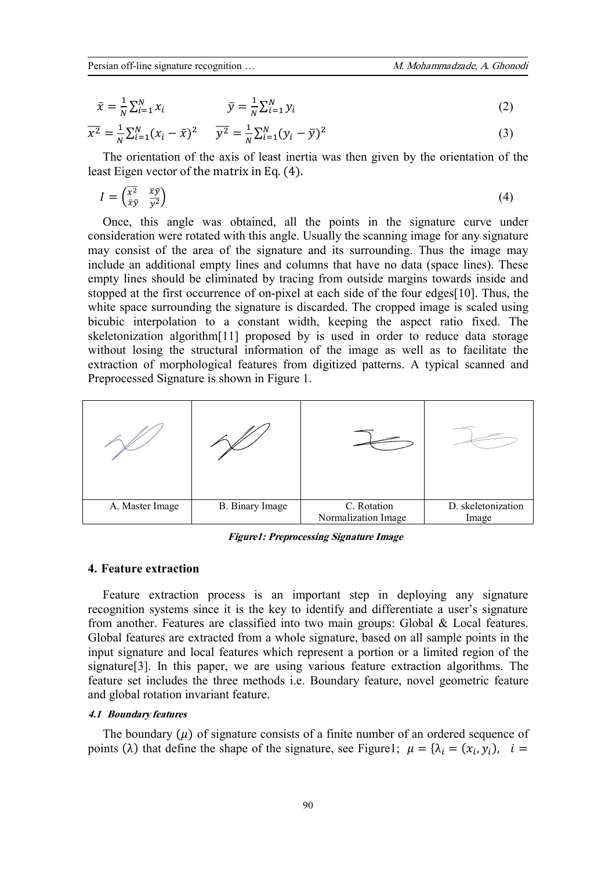$$
\bar{x} = \frac{1}{N} \sum_{i=1}^{N} x_i \qquad \qquad \bar{y} = \frac{1}{N} \sum_{i=1}^{N} y_i \qquad (2)
$$

$$
\overline{x^2} = \frac{1}{N} \sum_{i=1}^{N} (x_i - \bar{x})^2 \qquad \overline{y^2} = \frac{1}{N} \sum_{i=1}^{N} (y_i - \bar{y})^2 \tag{3}
$$

The orientation of the axis of least inertia was then given by the orientation of the least Eigen vector of the matrix in Eq. (4).

$$
I = \begin{pmatrix} \overline{x^2} & \overline{x}\overline{y} \\ \overline{x}\overline{y} & \overline{y^2} \end{pmatrix} \tag{4}
$$

Once, this angle was obtained, all the points in the signature curve under consideration were rotated with this angle. Usually the scanning image for any signature may consist of the area of the signature and its surrounding. Thus the image may include an additional empty lines and columns that have no data (space lines). These empty lines should be eliminated by tracing from outside margins towards inside and stopped at the first occurrence of on-pixel at each side of the four edges[10]. Thus, the white space surrounding the signature is discarded. The cropped image is scaled using bicubic interpolation to a constant width, keeping the aspect ratio fixed. The skeletonization algorithm[11] proposed by is used in order to reduce data storage without losing the structural information of the image as well as to facilitate the extraction of morphological features from digitized patterns. A typical scanned and Preprocessed Signature is shown in Figure 1.



*Figure1: Preprocessing Signature Image* 

#### **4. Feature extraction**

Feature extraction process is an important step in deploying any signature recognition systems since it is the key to identify and differentiate a user's signature from another. Features are classified into two main groups: Global & Local features. Global features are extracted from a whole signature, based on all sample points in the input signature and local features which represent a portion or a limited region of the signature[3]. In this paper, we are using various feature extraction algorithms. The feature set includes the three methods i.e. Boundary feature, novel geometric feature and global rotation invariant feature.

## *4.1 Boundary features*

The boundary  $(\mu)$  of signature consists of a finite number of an ordered sequence of points ( $\lambda$ ) that define the shape of the signature, see Figure1;  $\mu = {\lambda_i = (x_i, y_i)}$ ,  $i =$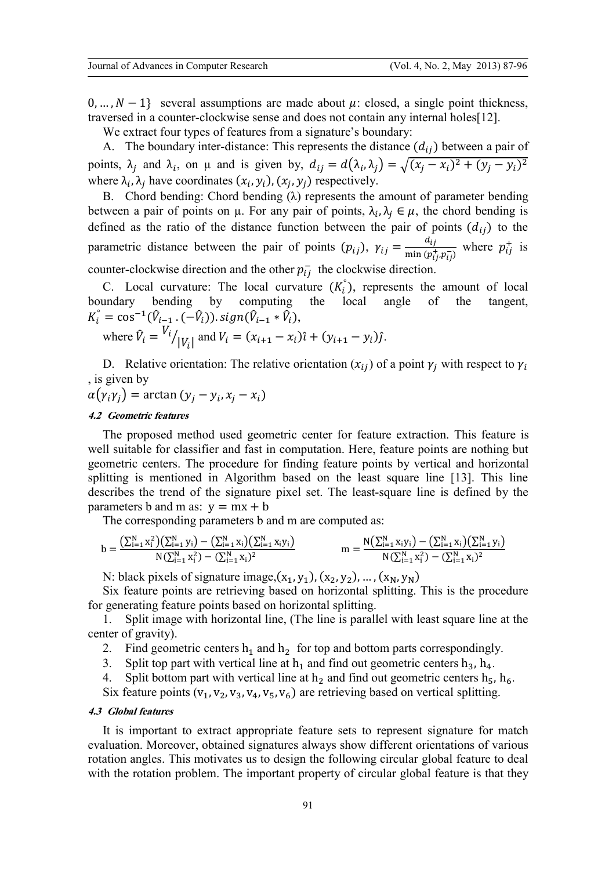0, …,  $N-1$ } several assumptions are made about  $\mu$ : closed, a single point thickness, traversed in a counter-clockwise sense and does not contain any internal holes[12].

We extract four types of features from a signature's boundary:

A. The boundary inter-distance: This represents the distance  $(d_{ij})$  between a pair of points,  $\lambda_j$  and  $\lambda_i$ , on  $\mu$  and is given by,  $d_{ij} = d(\lambda_i, \lambda_j) = \sqrt{(x_j - x_i)^2 + (y_j - y_i)^2}$ where  $\lambda_i$ ,  $\lambda_j$  have coordinates  $(x_i, y_i)$ ,  $(x_j, y_j)$  respectively.

B. Chord bending: Chord bending  $(\lambda)$  represents the amount of parameter bending between a pair of points on  $\mu$ . For any pair of points,  $\lambda_i, \lambda_j \in \mu$ , the chord bending is defined as the ratio of the distance function between the pair of points  $(d_{ij})$  to the parametric distance between the pair of points  $(p_{ij})$ ,  $\gamma_{ij} = \frac{d}{m \ln (t)}$  $\frac{a_{ij}}{\min (p_{ij}^+, p_{ij}^-)}$  where  $p_{ij}^+$  is counter-clockwise direction and the other  $p_{ij}^-$  the clockwise direction.

C. Local curvature: The local curvature  $(K_i)$ , represents the amount of local boundary bending by computing the local angle of the tangent,  $K_i^{\circ} = \cos^{-1}(\hat{V}_{i-1} \cdot (-\hat{V}_i)).$   $sign(\hat{V}_{i-1} * \hat{V}_i)$ ,

where 
$$
\hat{V}_i = \frac{V_i}{|V_i|}
$$
 and  $V_i = (x_{i+1} - x_i)\hat{i} + (y_{i+1} - y_i)\hat{j}$ .

D. Relative orientation: The relative orientation  $(x_{ij})$  of a point  $\gamma_i$  with respect to  $\gamma_i$ , is given by

 $\alpha(\gamma_i \gamma_j) = \arctan(y_j - y_i, x_j - x_i)$ 

## *4.2 Geometric features*

The proposed method used geometric center for feature extraction. This feature is well suitable for classifier and fast in computation. Here, feature points are nothing but geometric centers. The procedure for finding feature points by vertical and horizontal splitting is mentioned in Algorithm based on the least square line [13]. This line describes the trend of the signature pixel set. The least-square line is defined by the parameters b and m as:  $y = mx + b$ 

The corresponding parameters b and m are computed as:

$$
b = \frac{\left(\sum_{i=1}^{N} x_i^2\right)\left(\sum_{i=1}^{N} y_i\right) - \left(\sum_{i=1}^{N} x_i\right)\left(\sum_{i=1}^{N} x_i y_i\right)}{N\left(\sum_{i=1}^{N} x_i^2\right) - \left(\sum_{i=1}^{N} x_i\right)^2}
$$
  

$$
m = \frac{N\left(\sum_{i=1}^{N} x_i y_i\right) - \left(\sum_{i=1}^{N} x_i\right)\left(\sum_{i=1}^{N} y_i\right)}{N\left(\sum_{i=1}^{N} x_i^2\right) - \left(\sum_{i=1}^{N} x_i\right)^2}
$$

N: black pixels of signature image,  $(x_1, y_1)$ ,  $(x_2, y_2)$ , ...,  $(x_N, y_N)$ 

Six feature points are retrieving based on horizontal splitting. This is the procedure for generating feature points based on horizontal splitting.

1. Split image with horizontal line, (The line is parallel with least square line at the center of gravity).

2. Find geometric centers  $h_1$  and  $h_2$  for top and bottom parts correspondingly.<br>3. Split top part with vertical line at  $h_1$  and find out geometric centers  $h_3$ ,  $h_4$ .

- Split top part with vertical line at  $h_1$  and find out geometric centers  $h_3$ ,  $h_4$ .
- 4. Split bottom part with vertical line at  $h_2$  and find out geometric centers  $h_5$ ,  $h_6$ .

Six feature points  $(v_1, v_2, v_3, v_4, v_5, v_6)$  are retrieving based on vertical splitting.

#### *4.3 Global features*

It is important to extract appropriate feature sets to represent signature for match evaluation. Moreover, obtained signatures always show different orientations of various rotation angles. This motivates us to design the following circular global feature to deal with the rotation problem. The important property of circular global feature is that they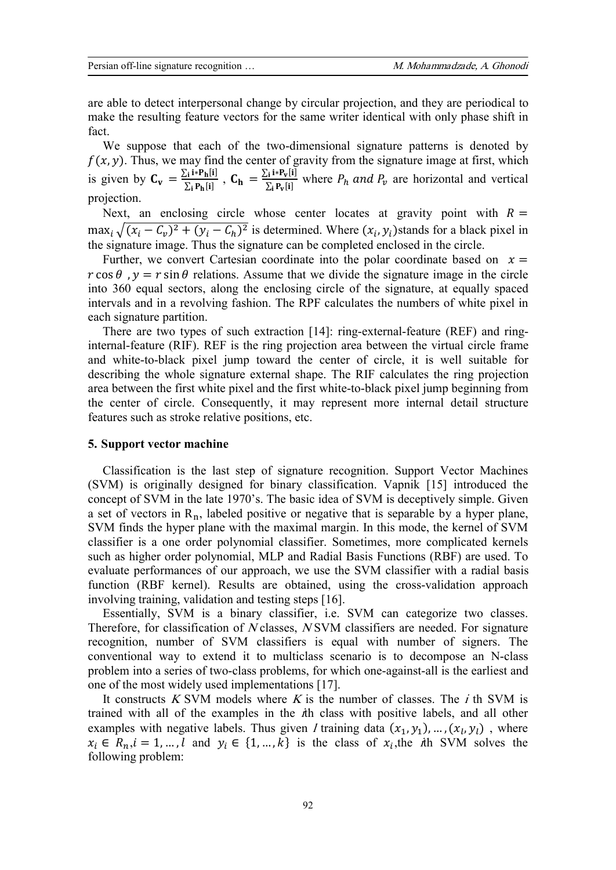are able to detect interpersonal change by circular projection, and they are periodical to make the resulting feature vectors for the same writer identical with only phase shift in fact.

We suppose that each of the two-dimensional signature patterns is denoted by  $f(x, y)$ . Thus, we may find the center of gravity from the signature image at first, which is given by  $C_v = \frac{\sum_i i^* P_h[i]}{\sum_i P_h[i]}$  $\frac{\sum_i i^* P_h[i]}{\sum_i P_h[i]}$ ,  $C_h = \frac{\sum_i i^* P_v[i]}{\sum_i P_v[i]}$  $\sum_{i} P_{V}[i]$ where  $P_h$  and  $P_v$  are horizontal and vertical projection.

Next, an enclosing circle whose center locates at gravity point with  $R =$  $\max_i \sqrt{(x_i - C_v)^2 + (y_i - C_h)^2}$  is determined. Where  $(x_i, y_i)$  stands for a black pixel in the signature image. Thus the signature can be completed enclosed in the circle.

Further, we convert Cartesian coordinate into the polar coordinate based on  $x =$  $r \cos \theta$ ,  $v = r \sin \theta$  relations. Assume that we divide the signature image in the circle into 360 equal sectors, along the enclosing circle of the signature, at equally spaced intervals and in a revolving fashion. The RPF calculates the numbers of white pixel in each signature partition.

There are two types of such extraction [14]: ring-external-feature (REF) and ringinternal-feature (RIF). REF is the ring projection area between the virtual circle frame and white-to-black pixel jump toward the center of circle, it is well suitable for describing the whole signature external shape. The RIF calculates the ring projection area between the first white pixel and the first white-to-black pixel jump beginning from the center of circle. Consequently, it may represent more internal detail structure features such as stroke relative positions, etc.

#### **5. Support vector machine**

Classification is the last step of signature recognition. Support Vector Machines (SVM) is originally designed for binary classification. Vapnik [15] introduced the concept of SVM in the late 1970's. The basic idea of SVM is deceptively simple. Given a set of vectors in  $R_n$ , labeled positive or negative that is separable by a hyper plane, SVM finds the hyper plane with the maximal margin. In this mode, the kernel of SVM classifier is a one order polynomial classifier. Sometimes, more complicated kernels such as higher order polynomial, MLP and Radial Basis Functions (RBF) are used. To evaluate performances of our approach, we use the SVM classifier with a radial basis function (RBF kernel). Results are obtained, using the cross-validation approach involving training, validation and testing steps [16].

Essentially, SVM is a binary classifier, i.e. SVM can categorize two classes. Therefore, for classification of *N* classes, *N* SVM classifiers are needed. For signature recognition, number of SVM classifiers is equal with number of signers. The conventional way to extend it to multiclass scenario is to decompose an N-class problem into a series of two-class problems, for which one-against-all is the earliest and one of the most widely used implementations [17].

It constructs *<sup>K</sup>* SVM models where *<sup>K</sup>* is the number of classes. The *i* th SVM is trained with all of the examples in the *i*th class with positive labels, and all other examples with negative labels. Thus given *l* training data  $(x_1, y_1), ..., (x_l, y_l)$ , where  $x_i \in R_n, i = 1, \dots, l$  and  $y_i \in \{1, \dots, k\}$  is the class of  $x_i$ , the *i*th SVM solves the following problem: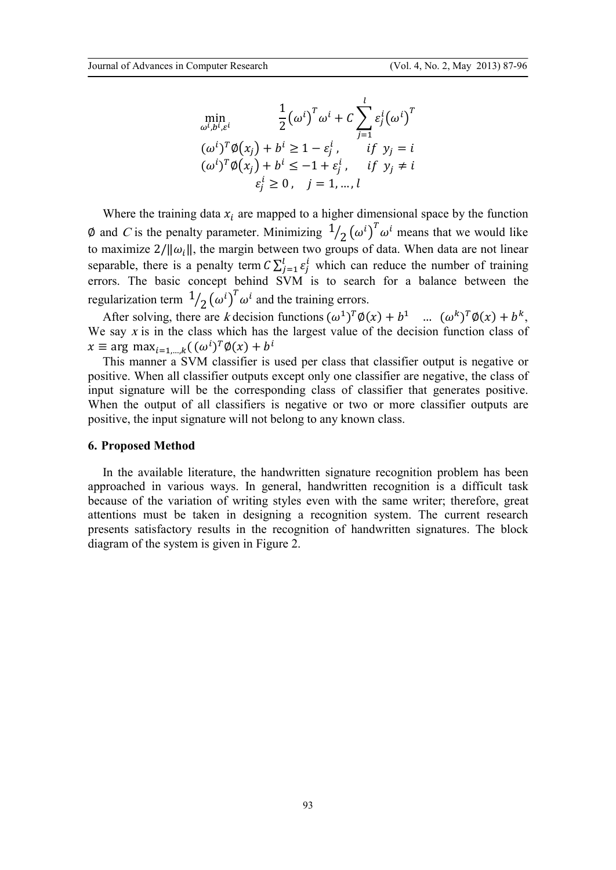$$
\min_{\omega^i, b^i, \varepsilon^i} \qquad \frac{1}{2} (\omega^i)^T \omega^i + C \sum_{j=1}^l \varepsilon_j^i (\omega^i)^T
$$
  
\n
$$
(\omega^i)^T \emptyset (x_j) + b^i \ge 1 - \varepsilon_j^i, \qquad \text{if } y_j = i
$$
  
\n
$$
(\omega^i)^T \emptyset (x_j) + b^i \le -1 + \varepsilon_j^i, \qquad \text{if } y_j \ne i
$$
  
\n
$$
\varepsilon_j^i \ge 0, \quad j = 1, \dots, l
$$

Where the training data  $x_i$  are mapped to a higher dimensional space by the function  $\emptyset$  and *C* is the penalty parameter. Minimizing  $\frac{1}{2}(\omega^i)^T \omega^i$  means that we would like 2 to maximize  $2/||\omega_i||$ , the margin between two groups of data. When data are not linear separable, there is a penalty term  $C \sum_{j=1}^{l} \varepsilon_j^l$  which can reduce the number of training errors. The basic concept behind SVM is to search for a balance between the regularization term  $\frac{1}{2} (\omega^i)^T \omega^i$  and the training errors. 2

After solving, there are *k* decision functions  $(\omega^1)^T \phi(x) + b^1$  ...  $(\omega^k)^T \phi(x) + b^k$ , We say *x* is in the class which has the largest value of the decision function class of  $x \equiv \arg \max_{i=1,\dots,k} ((\omega^i)^T \emptyset(x) + b^i)$ 

This manner a SVM classifier is used per class that classifier output is negative or positive. When all classifier outputs except only one classifier are negative, the class of input signature will be the corresponding class of classifier that generates positive. When the output of all classifiers is negative or two or more classifier outputs are positive, the input signature will not belong to any known class.

#### **6. Proposed Method**

In the available literature, the handwritten signature recognition problem has been approached in various ways. In general, handwritten recognition is a difficult task because of the variation of writing styles even with the same writer; therefore, great attentions must be taken in designing a recognition system. The current research presents satisfactory results in the recognition of handwritten signatures. The block diagram of the system is given in Figure 2.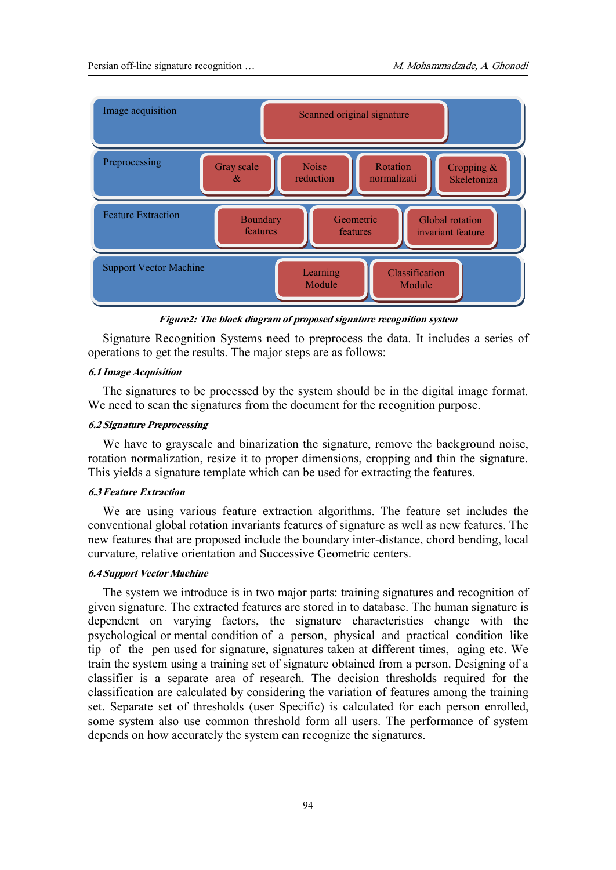

*Figure2: The block diagram of proposed signature recognition system* 

Signature Recognition Systems need to preprocess the data. It includes a series of operations to get the results. The major steps are as follows:

#### *6.1 Image Acquisition*

The signatures to be processed by the system should be in the digital image format. We need to scan the signatures from the document for the recognition purpose.

# *6.2 Signature Preprocessing*

We have to grayscale and binarization the signature, remove the background noise, rotation normalization, resize it to proper dimensions, cropping and thin the signature. This yields a signature template which can be used for extracting the features.

## *6.3 Feature Extraction*

We are using various feature extraction algorithms. The feature set includes the conventional global rotation invariants features of signature as well as new features. The new features that are proposed include the boundary inter-distance, chord bending, local curvature, relative orientation and Successive Geometric centers.

#### *6.4 Support Vector Machine*

The system we introduce is in two major parts: training signatures and recognition of given signature. The extracted features are stored in to database. The human signature is dependent on varying factors, the signature characteristics change with the psychological or mental condition of a person, physical and practical condition like tip of the pen used for signature, signatures taken at different times, aging etc. We train the system using a training set of signature obtained from a person. Designing of a classifier is a separate area of research. The decision thresholds required for the classification are calculated by considering the variation of features among the training set. Separate set of thresholds (user Specific) is calculated for each person enrolled, some system also use common threshold form all users. The performance of system depends on how accurately the system can recognize the signatures.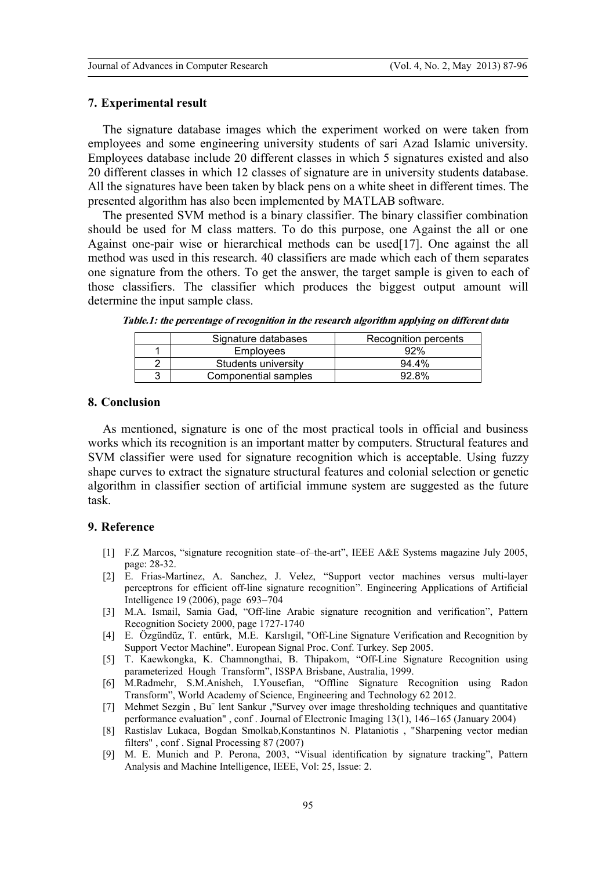#### **7. Experimental result**

The signature database images which the experiment worked on were taken from employees and some engineering university students of sari Azad Islamic university. Employees database include 20 different classes in which 5 signatures existed and also 20 different classes in which 12 classes of signature are in university students database. All the signatures have been taken by black pens on a white sheet in different times. The presented algorithm has also been implemented by MATLAB software.

The presented SVM method is a binary classifier. The binary classifier combination should be used for M class matters. To do this purpose, one Against the all or one Against one-pair wise or hierarchical methods can be used[17]. One against the all method was used in this research. 40 classifiers are made which each of them separates one signature from the others. To get the answer, the target sample is given to each of those classifiers. The classifier which produces the biggest output amount will determine the input sample class.

| Signature databases  | Recognition percents |
|----------------------|----------------------|
| Employees            | 92%                  |
| Students university  | 94.4%                |
| Componential samples | 92.8%                |

*Table.1: the percentage of recognition in the research algorithm applying on different data*

## **8. Conclusion**

As mentioned, signature is one of the most practical tools in official and business works which its recognition is an important matter by computers. Structural features and SVM classifier were used for signature recognition which is acceptable. Using fuzzy shape curves to extract the signature structural features and colonial selection or genetic algorithm in classifier section of artificial immune system are suggested as the future task.

## **9. Reference**

- [1] F.Z Marcos, "signature recognition state–of–the-art", IEEE A&E Systems magazine July 2005, page: 28-32.
- [2] E. Frias-Martinez, A. Sanchez, J. Velez, "Support vector machines versus multi-layer perceptrons for efficient off-line signature recognition". Engineering Applications of Articial Intelligence 19 (2006), page 693–704
- [3] M.A. Ismail, Samia Gad, "Off-line Arabic signature recognition and verification", Pattern Recognition Society 2000, page 1727-1740
- [4] E. Özgündüz, T. entürk, M.E. Karslıgil, "Off-Line Signature Verification and Recognition by Support Vector Machine". European Signal Proc. Conf. Turkey. Sep 2005.
- [5] T. Kaewkongka, K. Chamnongthai, B. Thipakom, "Off-Line Signature Recognition using parameterized Hough Transform", ISSPA Brisbane, Australia, 1999.
- [6] M.Radmehr, S.M.Anisheh, I.Yousefian, "Offline Signature Recognition using Radon Transform", World Academy of Science, Engineering and Technology 62 2012.
- [7] Mehmet Sezgin , Bu¨ lent Sankur ,"Survey over image thresholding techniques and quantitative performance evaluation" , conf . Journal of Electronic Imaging 13(1), 146–165 (January 2004)
- [8] Rastislav Lukaca, Bogdan Smolkab,Konstantinos N. Plataniotis , "Sharpening vector median filters" , conf . Signal Processing 87 (2007)
- [9] M. E. Munich and P. Perona, 2003, "Visual identification by signature tracking", Pattern Analysis and Machine Intelligence, IEEE, Vol: 25, Issue: 2.